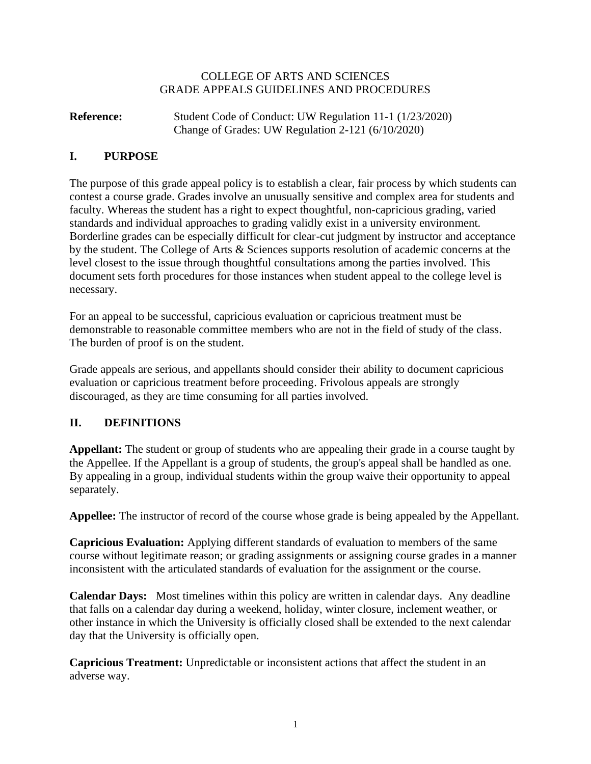#### COLLEGE OF ARTS AND SCIENCES GRADE APPEALS GUIDELINES AND PROCEDURES

### **Reference:** Student Code of Conduct: UW Regulation 11-1 (1/23/2020) Change of Grades: UW Regulation 2-121 (6/10/2020)

### **I. PURPOSE**

The purpose of this grade appeal policy is to establish a clear, fair process by which students can contest a course grade. Grades involve an unusually sensitive and complex area for students and faculty. Whereas the student has a right to expect thoughtful, non-capricious grading, varied standards and individual approaches to grading validly exist in a university environment. Borderline grades can be especially difficult for clear-cut judgment by instructor and acceptance by the student. The College of Arts & Sciences supports resolution of academic concerns at the level closest to the issue through thoughtful consultations among the parties involved. This document sets forth procedures for those instances when student appeal to the college level is necessary.

For an appeal to be successful, capricious evaluation or capricious treatment must be demonstrable to reasonable committee members who are not in the field of study of the class. The burden of proof is on the student.

Grade appeals are serious, and appellants should consider their ability to document capricious evaluation or capricious treatment before proceeding. Frivolous appeals are strongly discouraged, as they are time consuming for all parties involved.

# **II. DEFINITIONS**

**Appellant:** The student or group of students who are appealing their grade in a course taught by the Appellee. If the Appellant is a group of students, the group's appeal shall be handled as one. By appealing in a group, individual students within the group waive their opportunity to appeal separately.

**Appellee:** The instructor of record of the course whose grade is being appealed by the Appellant.

**Capricious Evaluation:** Applying different standards of evaluation to members of the same course without legitimate reason; or grading assignments or assigning course grades in a manner inconsistent with the articulated standards of evaluation for the assignment or the course.

**Calendar Days:** Most timelines within this policy are written in calendar days. Any deadline that falls on a calendar day during a weekend, holiday, winter closure, inclement weather, or other instance in which the University is officially closed shall be extended to the next calendar day that the University is officially open.

**Capricious Treatment:** Unpredictable or inconsistent actions that affect the student in an adverse way.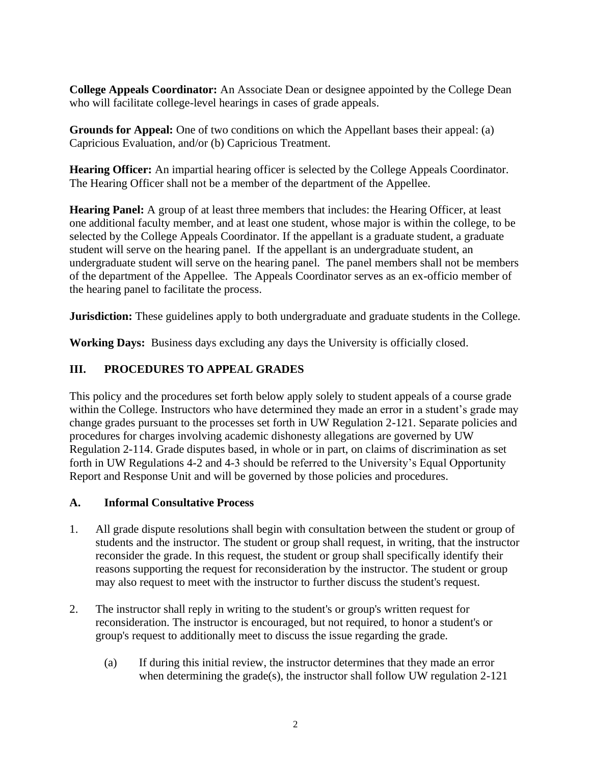**College Appeals Coordinator:** An Associate Dean or designee appointed by the College Dean who will facilitate college-level hearings in cases of grade appeals.

**Grounds for Appeal:** One of two conditions on which the Appellant bases their appeal: (a) Capricious Evaluation, and/or (b) Capricious Treatment.

**Hearing Officer:** An impartial hearing officer is selected by the College Appeals Coordinator. The Hearing Officer shall not be a member of the department of the Appellee.

**Hearing Panel:** A group of at least three members that includes: the Hearing Officer, at least one additional faculty member, and at least one student, whose major is within the college, to be selected by the College Appeals Coordinator. If the appellant is a graduate student, a graduate student will serve on the hearing panel. If the appellant is an undergraduate student, an undergraduate student will serve on the hearing panel. The panel members shall not be members of the department of the Appellee. The Appeals Coordinator serves as an ex-officio member of the hearing panel to facilitate the process.

**Jurisdiction:** These guidelines apply to both undergraduate and graduate students in the College.

**Working Days:** Business days excluding any days the University is officially closed.

# **III. PROCEDURES TO APPEAL GRADES**

This policy and the procedures set forth below apply solely to student appeals of a course grade within the College. Instructors who have determined they made an error in a student's grade may change grades pursuant to the processes set forth in UW Regulation 2-121. Separate policies and procedures for charges involving academic dishonesty allegations are governed by UW Regulation 2-114. Grade disputes based, in whole or in part, on claims of discrimination as set forth in UW Regulations 4-2 and 4-3 should be referred to the University's Equal Opportunity Report and Response Unit and will be governed by those policies and procedures.

# **A. Informal Consultative Process**

- 1. All grade dispute resolutions shall begin with consultation between the student or group of students and the instructor. The student or group shall request, in writing, that the instructor reconsider the grade. In this request, the student or group shall specifically identify their reasons supporting the request for reconsideration by the instructor. The student or group may also request to meet with the instructor to further discuss the student's request.
- 2. The instructor shall reply in writing to the student's or group's written request for reconsideration. The instructor is encouraged, but not required, to honor a student's or group's request to additionally meet to discuss the issue regarding the grade.
	- (a) If during this initial review, the instructor determines that they made an error when determining the grade(s), the instructor shall follow UW regulation 2-121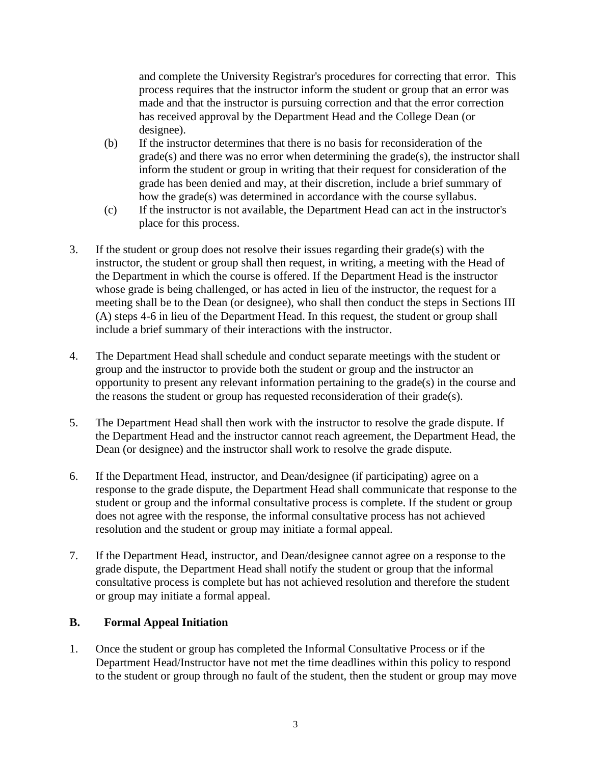and complete the University Registrar's procedures for correcting that error. This process requires that the instructor inform the student or group that an error was made and that the instructor is pursuing correction and that the error correction has received approval by the Department Head and the College Dean (or designee).

- (b) If the instructor determines that there is no basis for reconsideration of the grade(s) and there was no error when determining the grade(s), the instructor shall inform the student or group in writing that their request for consideration of the grade has been denied and may, at their discretion, include a brief summary of how the grade(s) was determined in accordance with the course syllabus.
- (c) If the instructor is not available, the Department Head can act in the instructor's place for this process.
- 3. If the student or group does not resolve their issues regarding their grade(s) with the instructor, the student or group shall then request, in writing, a meeting with the Head of the Department in which the course is offered. If the Department Head is the instructor whose grade is being challenged, or has acted in lieu of the instructor, the request for a meeting shall be to the Dean (or designee), who shall then conduct the steps in Sections III (A) steps 4-6 in lieu of the Department Head. In this request, the student or group shall include a brief summary of their interactions with the instructor.
- 4. The Department Head shall schedule and conduct separate meetings with the student or group and the instructor to provide both the student or group and the instructor an opportunity to present any relevant information pertaining to the grade(s) in the course and the reasons the student or group has requested reconsideration of their grade(s).
- 5. The Department Head shall then work with the instructor to resolve the grade dispute. If the Department Head and the instructor cannot reach agreement, the Department Head, the Dean (or designee) and the instructor shall work to resolve the grade dispute.
- 6. If the Department Head, instructor, and Dean/designee (if participating) agree on a response to the grade dispute, the Department Head shall communicate that response to the student or group and the informal consultative process is complete. If the student or group does not agree with the response, the informal consultative process has not achieved resolution and the student or group may initiate a formal appeal.
- 7. If the Department Head, instructor, and Dean/designee cannot agree on a response to the grade dispute, the Department Head shall notify the student or group that the informal consultative process is complete but has not achieved resolution and therefore the student or group may initiate a formal appeal.

### **B. Formal Appeal Initiation**

1. Once the student or group has completed the Informal Consultative Process or if the Department Head/Instructor have not met the time deadlines within this policy to respond to the student or group through no fault of the student, then the student or group may move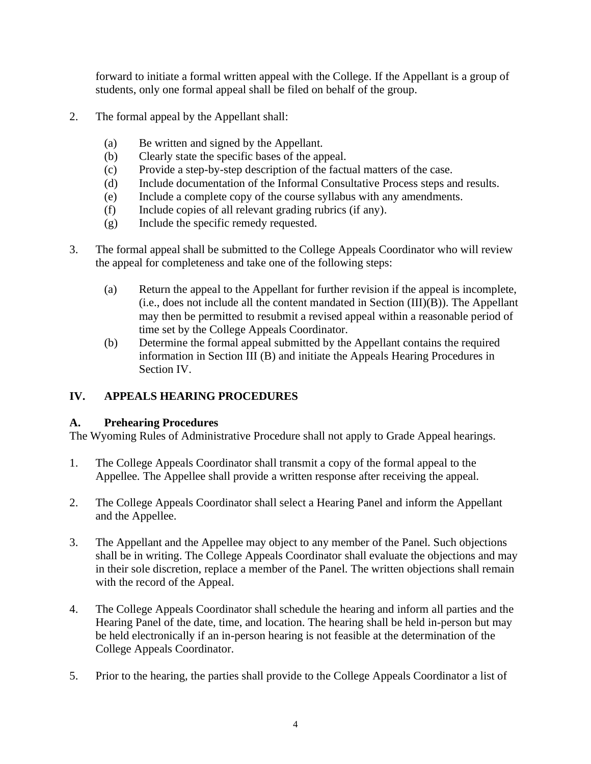forward to initiate a formal written appeal with the College. If the Appellant is a group of students, only one formal appeal shall be filed on behalf of the group.

- 2. The formal appeal by the Appellant shall:
	- (a) Be written and signed by the Appellant.
	- (b) Clearly state the specific bases of the appeal.
	- (c) Provide a step-by-step description of the factual matters of the case.
	- (d) Include documentation of the Informal Consultative Process steps and results.
	- (e) Include a complete copy of the course syllabus with any amendments.
	- (f) Include copies of all relevant grading rubrics (if any).
	- (g) Include the specific remedy requested.
- 3. The formal appeal shall be submitted to the College Appeals Coordinator who will review the appeal for completeness and take one of the following steps:
	- (a) Return the appeal to the Appellant for further revision if the appeal is incomplete, (i.e., does not include all the content mandated in Section (III)(B)). The Appellant may then be permitted to resubmit a revised appeal within a reasonable period of time set by the College Appeals Coordinator.
	- (b) Determine the formal appeal submitted by the Appellant contains the required information in Section III (B) and initiate the Appeals Hearing Procedures in Section IV.

# **IV. APPEALS HEARING PROCEDURES**

### **A. Prehearing Procedures**

The Wyoming Rules of Administrative Procedure shall not apply to Grade Appeal hearings.

- 1. The College Appeals Coordinator shall transmit a copy of the formal appeal to the Appellee. The Appellee shall provide a written response after receiving the appeal.
- 2. The College Appeals Coordinator shall select a Hearing Panel and inform the Appellant and the Appellee.
- 3. The Appellant and the Appellee may object to any member of the Panel. Such objections shall be in writing. The College Appeals Coordinator shall evaluate the objections and may in their sole discretion, replace a member of the Panel. The written objections shall remain with the record of the Appeal.
- 4. The College Appeals Coordinator shall schedule the hearing and inform all parties and the Hearing Panel of the date, time, and location. The hearing shall be held in-person but may be held electronically if an in-person hearing is not feasible at the determination of the College Appeals Coordinator.
- 5. Prior to the hearing, the parties shall provide to the College Appeals Coordinator a list of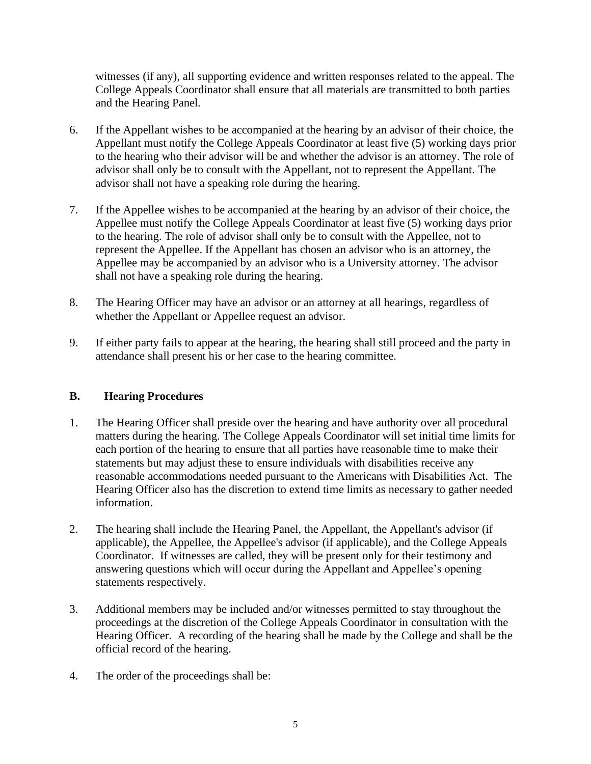witnesses (if any), all supporting evidence and written responses related to the appeal. The College Appeals Coordinator shall ensure that all materials are transmitted to both parties and the Hearing Panel.

- 6. If the Appellant wishes to be accompanied at the hearing by an advisor of their choice, the Appellant must notify the College Appeals Coordinator at least five (5) working days prior to the hearing who their advisor will be and whether the advisor is an attorney. The role of advisor shall only be to consult with the Appellant, not to represent the Appellant. The advisor shall not have a speaking role during the hearing.
- 7. If the Appellee wishes to be accompanied at the hearing by an advisor of their choice, the Appellee must notify the College Appeals Coordinator at least five (5) working days prior to the hearing. The role of advisor shall only be to consult with the Appellee, not to represent the Appellee. If the Appellant has chosen an advisor who is an attorney, the Appellee may be accompanied by an advisor who is a University attorney. The advisor shall not have a speaking role during the hearing.
- 8. The Hearing Officer may have an advisor or an attorney at all hearings, regardless of whether the Appellant or Appellee request an advisor.
- 9. If either party fails to appear at the hearing, the hearing shall still proceed and the party in attendance shall present his or her case to the hearing committee.

### **B. Hearing Procedures**

- 1. The Hearing Officer shall preside over the hearing and have authority over all procedural matters during the hearing. The College Appeals Coordinator will set initial time limits for each portion of the hearing to ensure that all parties have reasonable time to make their statements but may adjust these to ensure individuals with disabilities receive any reasonable accommodations needed pursuant to the Americans with Disabilities Act. The Hearing Officer also has the discretion to extend time limits as necessary to gather needed information.
- 2. The hearing shall include the Hearing Panel, the Appellant, the Appellant's advisor (if applicable), the Appellee, the Appellee's advisor (if applicable), and the College Appeals Coordinator. If witnesses are called, they will be present only for their testimony and answering questions which will occur during the Appellant and Appellee's opening statements respectively.
- 3. Additional members may be included and/or witnesses permitted to stay throughout the proceedings at the discretion of the College Appeals Coordinator in consultation with the Hearing Officer. A recording of the hearing shall be made by the College and shall be the official record of the hearing.
- 4. The order of the proceedings shall be: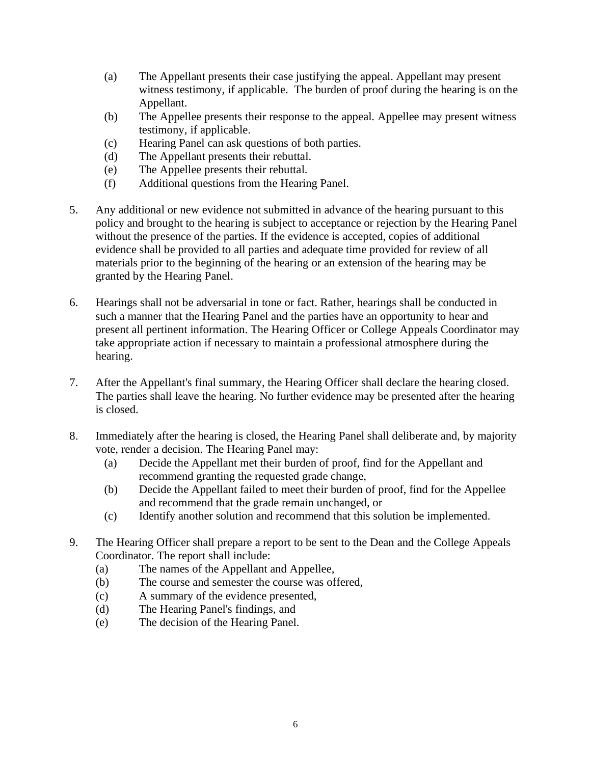- (a) The Appellant presents their case justifying the appeal. Appellant may present witness testimony, if applicable. The burden of proof during the hearing is on the Appellant.
- (b) The Appellee presents their response to the appeal. Appellee may present witness testimony, if applicable.
- (c) Hearing Panel can ask questions of both parties.
- (d) The Appellant presents their rebuttal.
- (e) The Appellee presents their rebuttal.
- (f) Additional questions from the Hearing Panel.
- 5. Any additional or new evidence not submitted in advance of the hearing pursuant to this policy and brought to the hearing is subject to acceptance or rejection by the Hearing Panel without the presence of the parties. If the evidence is accepted, copies of additional evidence shall be provided to all parties and adequate time provided for review of all materials prior to the beginning of the hearing or an extension of the hearing may be granted by the Hearing Panel.
- 6. Hearings shall not be adversarial in tone or fact. Rather, hearings shall be conducted in such a manner that the Hearing Panel and the parties have an opportunity to hear and present all pertinent information. The Hearing Officer or College Appeals Coordinator may take appropriate action if necessary to maintain a professional atmosphere during the hearing.
- 7. After the Appellant's final summary, the Hearing Officer shall declare the hearing closed. The parties shall leave the hearing. No further evidence may be presented after the hearing is closed.
- 8. Immediately after the hearing is closed, the Hearing Panel shall deliberate and, by majority vote, render a decision. The Hearing Panel may:
	- (a) Decide the Appellant met their burden of proof, find for the Appellant and recommend granting the requested grade change,
	- (b) Decide the Appellant failed to meet their burden of proof, find for the Appellee and recommend that the grade remain unchanged, or
	- (c) Identify another solution and recommend that this solution be implemented.
- 9. The Hearing Officer shall prepare a report to be sent to the Dean and the College Appeals Coordinator. The report shall include:
	- (a) The names of the Appellant and Appellee,
	- (b) The course and semester the course was offered,
	- (c) A summary of the evidence presented,
	- (d) The Hearing Panel's findings, and
	- (e) The decision of the Hearing Panel.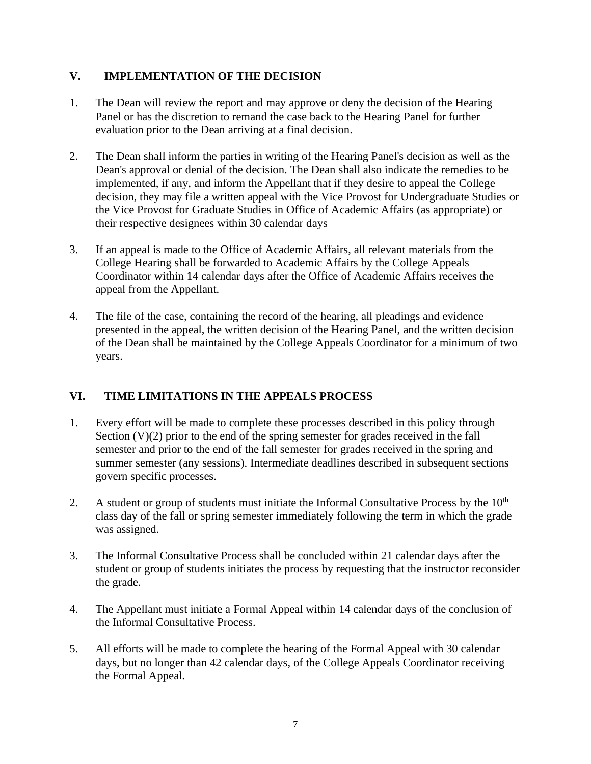### **V. IMPLEMENTATION OF THE DECISION**

- 1. The Dean will review the report and may approve or deny the decision of the Hearing Panel or has the discretion to remand the case back to the Hearing Panel for further evaluation prior to the Dean arriving at a final decision.
- 2. The Dean shall inform the parties in writing of the Hearing Panel's decision as well as the Dean's approval or denial of the decision. The Dean shall also indicate the remedies to be implemented, if any, and inform the Appellant that if they desire to appeal the College decision, they may file a written appeal with the Vice Provost for Undergraduate Studies or the Vice Provost for Graduate Studies in Office of Academic Affairs (as appropriate) or their respective designees within 30 calendar days
- 3. If an appeal is made to the Office of Academic Affairs, all relevant materials from the College Hearing shall be forwarded to Academic Affairs by the College Appeals Coordinator within 14 calendar days after the Office of Academic Affairs receives the appeal from the Appellant.
- 4. The file of the case, containing the record of the hearing, all pleadings and evidence presented in the appeal, the written decision of the Hearing Panel, and the written decision of the Dean shall be maintained by the College Appeals Coordinator for a minimum of two years.

# **VI. TIME LIMITATIONS IN THE APPEALS PROCESS**

- 1. Every effort will be made to complete these processes described in this policy through Section  $(V)(2)$  prior to the end of the spring semester for grades received in the fall semester and prior to the end of the fall semester for grades received in the spring and summer semester (any sessions). Intermediate deadlines described in subsequent sections govern specific processes.
- 2. A student or group of students must initiate the Informal Consultative Process by the  $10<sup>th</sup>$ class day of the fall or spring semester immediately following the term in which the grade was assigned.
- 3. The Informal Consultative Process shall be concluded within 21 calendar days after the student or group of students initiates the process by requesting that the instructor reconsider the grade.
- 4. The Appellant must initiate a Formal Appeal within 14 calendar days of the conclusion of the Informal Consultative Process.
- 5. All efforts will be made to complete the hearing of the Formal Appeal with 30 calendar days, but no longer than 42 calendar days, of the College Appeals Coordinator receiving the Formal Appeal.